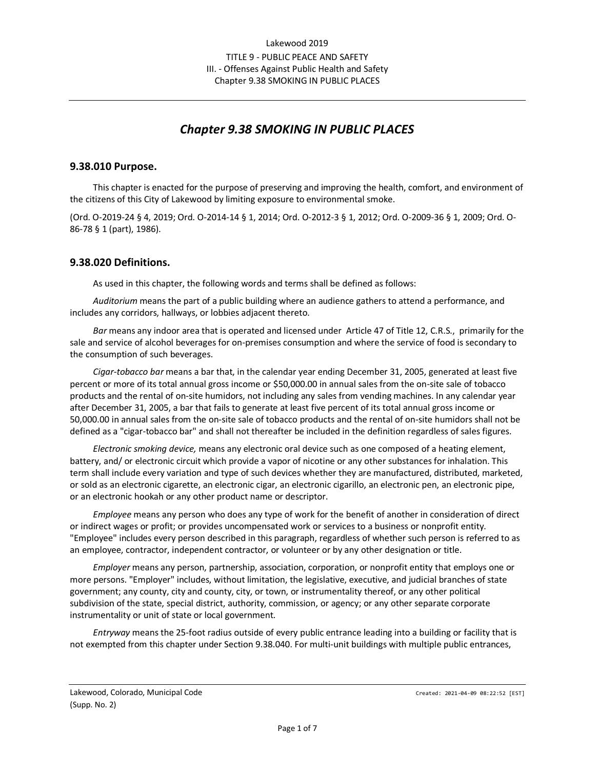# *Chapter 9.38 SMOKING IN PUBLIC PLACES*

#### **9.38.010 Purpose.**

This chapter is enacted for the purpose of preserving and improving the health, comfort, and environment of the citizens of this City of Lakewood by limiting exposure to environmental smoke.

(Ord. O-2019-24 § 4, 2019; Ord. O-2014-14 § 1, 2014; Ord. O-2012-3 § 1, 2012; Ord. O-2009-36 § 1, 2009; Ord. O-86-78 § 1 (part), 1986).

#### **9.38.020 Definitions.**

As used in this chapter, the following words and terms shall be defined as follows:

*Auditorium* means the part of a public building where an audience gathers to attend a performance, and includes any corridors, hallways, or lobbies adjacent thereto.

*Bar* means any indoor area that is operated and licensed under Article 47 of Title 12, C.R.S., primarily for the sale and service of alcohol beverages for on-premises consumption and where the service of food is secondary to the consumption of such beverages.

*Cigar-tobacco bar* means a bar that, in the calendar year ending December 31, 2005, generated at least five percent or more of its total annual gross income or \$50,000.00 in annual sales from the on-site sale of tobacco products and the rental of on-site humidors, not including any sales from vending machines. In any calendar year after December 31, 2005, a bar that fails to generate at least five percent of its total annual gross income or 50,000.00 in annual sales from the on-site sale of tobacco products and the rental of on-site humidors shall not be defined as a "cigar-tobacco bar" and shall not thereafter be included in the definition regardless of sales figures.

*Electronic smoking device,* means any electronic oral device such as one composed of a heating element, battery, and/ or electronic circuit which provide a vapor of nicotine or any other substances for inhalation. This term shall include every variation and type of such devices whether they are manufactured, distributed, marketed, or sold as an electronic cigarette, an electronic cigar, an electronic cigarillo, an electronic pen, an electronic pipe, or an electronic hookah or any other product name or descriptor.

*Employee* means any person who does any type of work for the benefit of another in consideration of direct or indirect wages or profit; or provides uncompensated work or services to a business or nonprofit entity. "Employee" includes every person described in this paragraph, regardless of whether such person is referred to as an employee, contractor, independent contractor, or volunteer or by any other designation or title.

*Employer* means any person, partnership, association, corporation, or nonprofit entity that employs one or more persons. "Employer" includes, without limitation, the legislative, executive, and judicial branches of state government; any county, city and county, city, or town, or instrumentality thereof, or any other political subdivision of the state, special district, authority, commission, or agency; or any other separate corporate instrumentality or unit of state or local government.

*Entryway* means the 25-foot radius outside of every public entrance leading into a building or facility that is not exempted from this chapter under Section 9.38.040. For multi-unit buildings with multiple public entrances,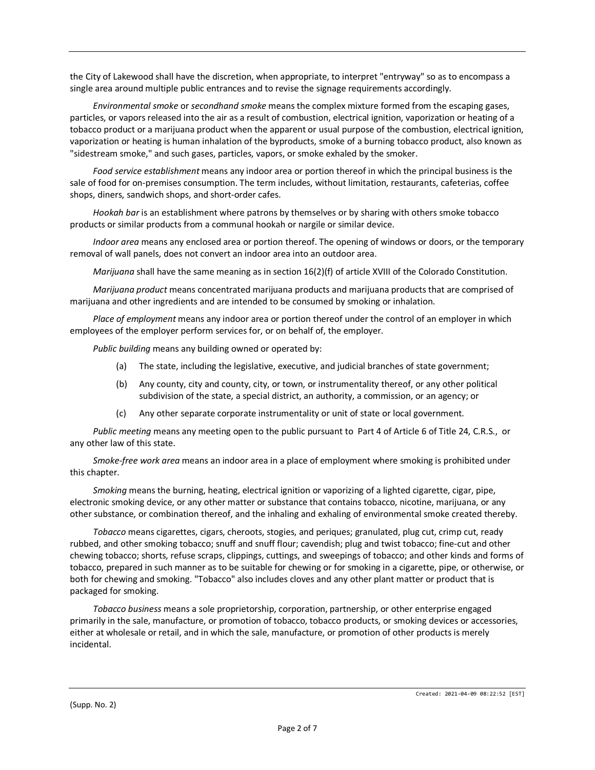the City of Lakewood shall have the discretion, when appropriate, to interpret "entryway" so as to encompass a single area around multiple public entrances and to revise the signage requirements accordingly.

*Environmental smoke* or *secondhand smoke* means the complex mixture formed from the escaping gases, particles, or vapors released into the air as a result of combustion, electrical ignition, vaporization or heating of a tobacco product or a marijuana product when the apparent or usual purpose of the combustion, electrical ignition, vaporization or heating is human inhalation of the byproducts, smoke of a burning tobacco product, also known as "sidestream smoke," and such gases, particles, vapors, or smoke exhaled by the smoker.

*Food service establishment* means any indoor area or portion thereof in which the principal business is the sale of food for on-premises consumption. The term includes, without limitation, restaurants, cafeterias, coffee shops, diners, sandwich shops, and short-order cafes.

*Hookah bar* is an establishment where patrons by themselves or by sharing with others smoke tobacco products or similar products from a communal hookah or nargile or similar device.

*Indoor area* means any enclosed area or portion thereof. The opening of windows or doors, or the temporary removal of wall panels, does not convert an indoor area into an outdoor area.

*Marijuana* shall have the same meaning as in section 16(2)(f) of article XVIII of the Colorado Constitution.

*Marijuana product* means concentrated marijuana products and marijuana products that are comprised of marijuana and other ingredients and are intended to be consumed by smoking or inhalation.

*Place of employment* means any indoor area or portion thereof under the control of an employer in which employees of the employer perform services for, or on behalf of, the employer.

*Public building* means any building owned or operated by:

- (a) The state, including the legislative, executive, and judicial branches of state government;
- (b) Any county, city and county, city, or town, or instrumentality thereof, or any other political subdivision of the state, a special district, an authority, a commission, or an agency; or
- (c) Any other separate corporate instrumentality or unit of state or local government.

*Public meeting* means any meeting open to the public pursuant to Part 4 of Article 6 of Title 24, C.R.S., or any other law of this state.

*Smoke-free work area* means an indoor area in a place of employment where smoking is prohibited under this chapter.

*Smoking* means the burning, heating, electrical ignition or vaporizing of a lighted cigarette, cigar, pipe, electronic smoking device, or any other matter or substance that contains tobacco, nicotine, marijuana, or any other substance, or combination thereof, and the inhaling and exhaling of environmental smoke created thereby.

*Tobacco* means cigarettes, cigars, cheroots, stogies, and periques; granulated, plug cut, crimp cut, ready rubbed, and other smoking tobacco; snuff and snuff flour; cavendish; plug and twist tobacco; fine-cut and other chewing tobacco; shorts, refuse scraps, clippings, cuttings, and sweepings of tobacco; and other kinds and forms of tobacco, prepared in such manner as to be suitable for chewing or for smoking in a cigarette, pipe, or otherwise, or both for chewing and smoking. "Tobacco" also includes cloves and any other plant matter or product that is packaged for smoking.

*Tobacco business* means a sole proprietorship, corporation, partnership, or other enterprise engaged primarily in the sale, manufacture, or promotion of tobacco, tobacco products, or smoking devices or accessories, either at wholesale or retail, and in which the sale, manufacture, or promotion of other products is merely incidental.

(Supp. No. 2)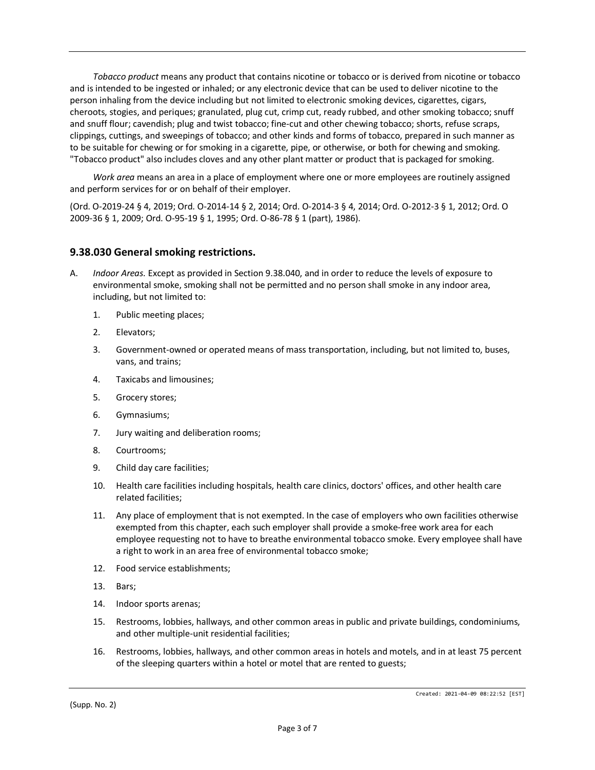*Tobacco product* means any product that contains nicotine or tobacco or is derived from nicotine or tobacco and is intended to be ingested or inhaled; or any electronic device that can be used to deliver nicotine to the person inhaling from the device including but not limited to electronic smoking devices, cigarettes, cigars, cheroots, stogies, and periques; granulated, plug cut, crimp cut, ready rubbed, and other smoking tobacco; snuff and snuff flour; cavendish; plug and twist tobacco; fine-cut and other chewing tobacco; shorts, refuse scraps, clippings, cuttings, and sweepings of tobacco; and other kinds and forms of tobacco, prepared in such manner as to be suitable for chewing or for smoking in a cigarette, pipe, or otherwise, or both for chewing and smoking. "Tobacco product" also includes cloves and any other plant matter or product that is packaged for smoking.

*Work area* means an area in a place of employment where one or more employees are routinely assigned and perform services for or on behalf of their employer.

(Ord. O-2019-24 § 4, 2019; Ord. O-2014-14 § 2, 2014; Ord. O-2014-3 § 4, 2014; Ord. O-2012-3 § 1, 2012; Ord. O 2009-36 § 1, 2009; Ord. O-95-19 § 1, 1995; Ord. O-86-78 § 1 (part), 1986).

#### **9.38.030 General smoking restrictions.**

- A. *Indoor Areas.* Except as provided in Section 9.38.040, and in order to reduce the levels of exposure to environmental smoke, smoking shall not be permitted and no person shall smoke in any indoor area, including, but not limited to:
	- 1. Public meeting places;
	- 2. Elevators;
	- 3. Government-owned or operated means of mass transportation, including, but not limited to, buses, vans, and trains;
	- 4. Taxicabs and limousines;
	- 5. Grocery stores;
	- 6. Gymnasiums;
	- 7. Jury waiting and deliberation rooms;
	- 8. Courtrooms;
	- 9. Child day care facilities;
	- 10. Health care facilities including hospitals, health care clinics, doctors' offices, and other health care related facilities;
	- 11. Any place of employment that is not exempted. In the case of employers who own facilities otherwise exempted from this chapter, each such employer shall provide a smoke-free work area for each employee requesting not to have to breathe environmental tobacco smoke. Every employee shall have a right to work in an area free of environmental tobacco smoke;
	- 12. Food service establishments;
	- 13. Bars;
	- 14. Indoor sports arenas;
	- 15. Restrooms, lobbies, hallways, and other common areas in public and private buildings, condominiums, and other multiple-unit residential facilities;
	- 16. Restrooms, lobbies, hallways, and other common areas in hotels and motels, and in at least 75 percent of the sleeping quarters within a hotel or motel that are rented to guests;

(Supp. No. 2)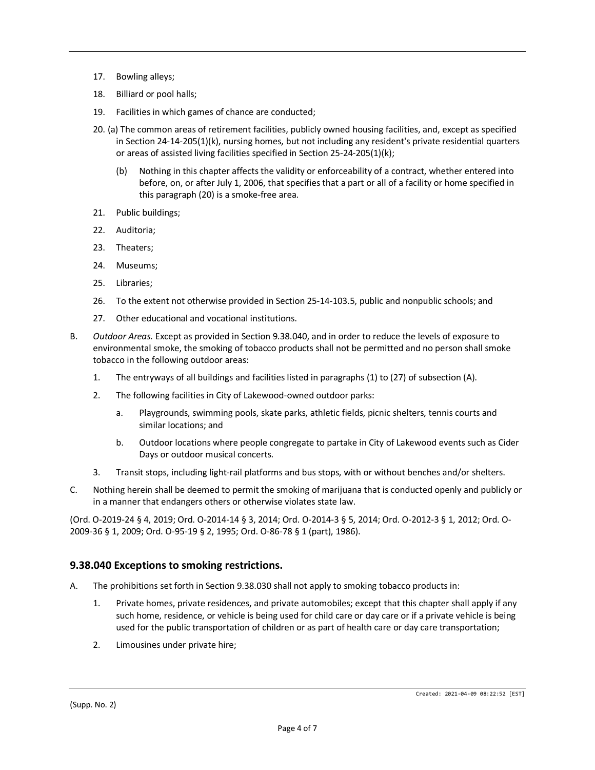- 17. Bowling alleys;
- 18. Billiard or pool halls;
- 19. Facilities in which games of chance are conducted;
- 20. (a) The common areas of retirement facilities, publicly owned housing facilities, and, except as specified in Section 24-14-205(1)(k), nursing homes, but not including any resident's private residential quarters or areas of assisted living facilities specified in Section 25-24-205(1)(k);
	- (b) Nothing in this chapter affects the validity or enforceability of a contract, whether entered into before, on, or after July 1, 2006, that specifies that a part or all of a facility or home specified in this paragraph (20) is a smoke-free area.
- 21. Public buildings;
- 22. Auditoria;
- 23. Theaters;
- 24. Museums;
- 25. Libraries;
- 26. To the extent not otherwise provided in Section 25-14-103.5, public and nonpublic schools; and
- 27. Other educational and vocational institutions.
- B. *Outdoor Areas.* Except as provided in Section 9.38.040, and in order to reduce the levels of exposure to environmental smoke, the smoking of tobacco products shall not be permitted and no person shall smoke tobacco in the following outdoor areas:
	- 1. The entryways of all buildings and facilities listed in paragraphs (1) to (27) of subsection (A).
	- 2. The following facilities in City of Lakewood-owned outdoor parks:
		- a. Playgrounds, swimming pools, skate parks, athletic fields, picnic shelters, tennis courts and similar locations; and
		- b. Outdoor locations where people congregate to partake in City of Lakewood events such as Cider Days or outdoor musical concerts.
	- 3. Transit stops, including light-rail platforms and bus stops, with or without benches and/or shelters.
- C. Nothing herein shall be deemed to permit the smoking of marijuana that is conducted openly and publicly or in a manner that endangers others or otherwise violates state law.

(Ord. O-2019-24 § 4, 2019; Ord. O-2014-14 § 3, 2014; Ord. O-2014-3 § 5, 2014; Ord. O-2012-3 § 1, 2012; Ord. O-2009-36 § 1, 2009; Ord. O-95-19 § 2, 1995; Ord. O-86-78 § 1 (part), 1986).

# **9.38.040 Exceptions to smoking restrictions.**

- A. The prohibitions set forth in Section 9.38.030 shall not apply to smoking tobacco products in:
	- 1. Private homes, private residences, and private automobiles; except that this chapter shall apply if any such home, residence, or vehicle is being used for child care or day care or if a private vehicle is being used for the public transportation of children or as part of health care or day care transportation;
	- 2. Limousines under private hire;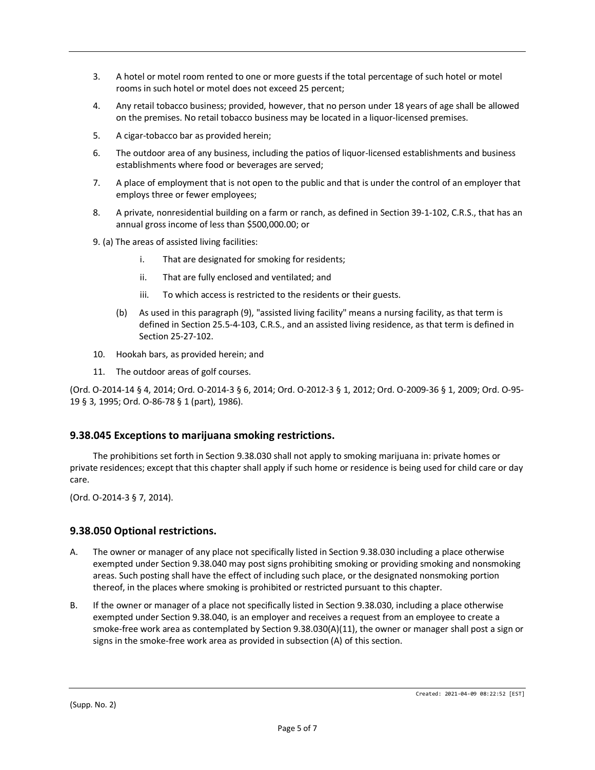- 3. A hotel or motel room rented to one or more guests if the total percentage of such hotel or motel rooms in such hotel or motel does not exceed 25 percent;
- 4. Any retail tobacco business; provided, however, that no person under 18 years of age shall be allowed on the premises. No retail tobacco business may be located in a liquor-licensed premises.
- 5. A cigar-tobacco bar as provided herein;
- 6. The outdoor area of any business, including the patios of liquor-licensed establishments and business establishments where food or beverages are served;
- 7. A place of employment that is not open to the public and that is under the control of an employer that employs three or fewer employees;
- 8. A private, nonresidential building on a farm or ranch, as defined in Section 39-1-102, C.R.S., that has an annual gross income of less than \$500,000.00; or
- 9. (a) The areas of assisted living facilities:
	- i. That are designated for smoking for residents;
	- ii. That are fully enclosed and ventilated; and
	- iii. To which access is restricted to the residents or their guests.
	- (b) As used in this paragraph (9), "assisted living facility" means a nursing facility, as that term is defined in Section 25.5-4-103, C.R.S., and an assisted living residence, as that term is defined in Section 25-27-102.
- 10. Hookah bars, as provided herein; and
- 11. The outdoor areas of golf courses.

(Ord. O-2014-14 § 4, 2014; Ord. O-2014-3 § 6, 2014; Ord. O-2012-3 § 1, 2012; Ord. O-2009-36 § 1, 2009; Ord. O-95- 19 § 3, 1995; Ord. O-86-78 § 1 (part), 1986).

# **9.38.045 Exceptions to marijuana smoking restrictions.**

The prohibitions set forth in Section 9.38.030 shall not apply to smoking marijuana in: private homes or private residences; except that this chapter shall apply if such home or residence is being used for child care or day care.

(Ord. O-2014-3 § 7, 2014).

# **9.38.050 Optional restrictions.**

- A. The owner or manager of any place not specifically listed in Section 9.38.030 including a place otherwise exempted under Section 9.38.040 may post signs prohibiting smoking or providing smoking and nonsmoking areas. Such posting shall have the effect of including such place, or the designated nonsmoking portion thereof, in the places where smoking is prohibited or restricted pursuant to this chapter.
- B. If the owner or manager of a place not specifically listed in Section 9.38.030, including a place otherwise exempted under Section 9.38.040, is an employer and receives a request from an employee to create a smoke-free work area as contemplated by Section 9.38.030(A)(11), the owner or manager shall post a sign or signs in the smoke-free work area as provided in subsection (A) of this section.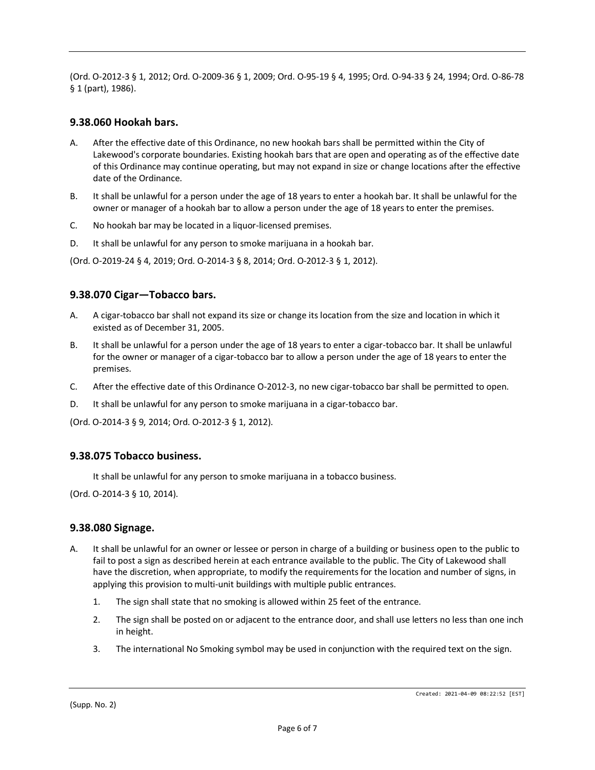(Ord. O-2012-3 § 1, 2012; Ord. O-2009-36 § 1, 2009; Ord. O-95-19 § 4, 1995; Ord. O-94-33 § 24, 1994; Ord. O-86-78 § 1 (part), 1986).

#### **9.38.060 Hookah bars.**

- A. After the effective date of this Ordinance, no new hookah bars shall be permitted within the City of Lakewood's corporate boundaries. Existing hookah bars that are open and operating as of the effective date of this Ordinance may continue operating, but may not expand in size or change locations after the effective date of the Ordinance.
- B. It shall be unlawful for a person under the age of 18 years to enter a hookah bar. It shall be unlawful for the owner or manager of a hookah bar to allow a person under the age of 18 years to enter the premises.
- C. No hookah bar may be located in a liquor-licensed premises.
- D. It shall be unlawful for any person to smoke marijuana in a hookah bar.

(Ord. O-2019-24 § 4, 2019; Ord. O-2014-3 § 8, 2014; Ord. O-2012-3 § 1, 2012).

# **9.38.070 Cigar—Tobacco bars.**

- A. A cigar-tobacco bar shall not expand its size or change its location from the size and location in which it existed as of December 31, 2005.
- B. It shall be unlawful for a person under the age of 18 years to enter a cigar-tobacco bar. It shall be unlawful for the owner or manager of a cigar-tobacco bar to allow a person under the age of 18 years to enter the premises.
- C. After the effective date of this Ordinance O-2012-3, no new cigar-tobacco bar shall be permitted to open.
- D. It shall be unlawful for any person to smoke marijuana in a cigar-tobacco bar.

(Ord. O-2014-3 § 9, 2014; Ord. O-2012-3 § 1, 2012).

#### **9.38.075 Tobacco business.**

It shall be unlawful for any person to smoke marijuana in a tobacco business.

(Ord. O-2014-3 § 10, 2014).

#### **9.38.080 Signage.**

- A. It shall be unlawful for an owner or lessee or person in charge of a building or business open to the public to fail to post a sign as described herein at each entrance available to the public. The City of Lakewood shall have the discretion, when appropriate, to modify the requirements for the location and number of signs, in applying this provision to multi-unit buildings with multiple public entrances.
	- 1. The sign shall state that no smoking is allowed within 25 feet of the entrance.
	- 2. The sign shall be posted on or adjacent to the entrance door, and shall use letters no less than one inch in height.
	- 3. The international No Smoking symbol may be used in conjunction with the required text on the sign.

(Supp. No. 2)